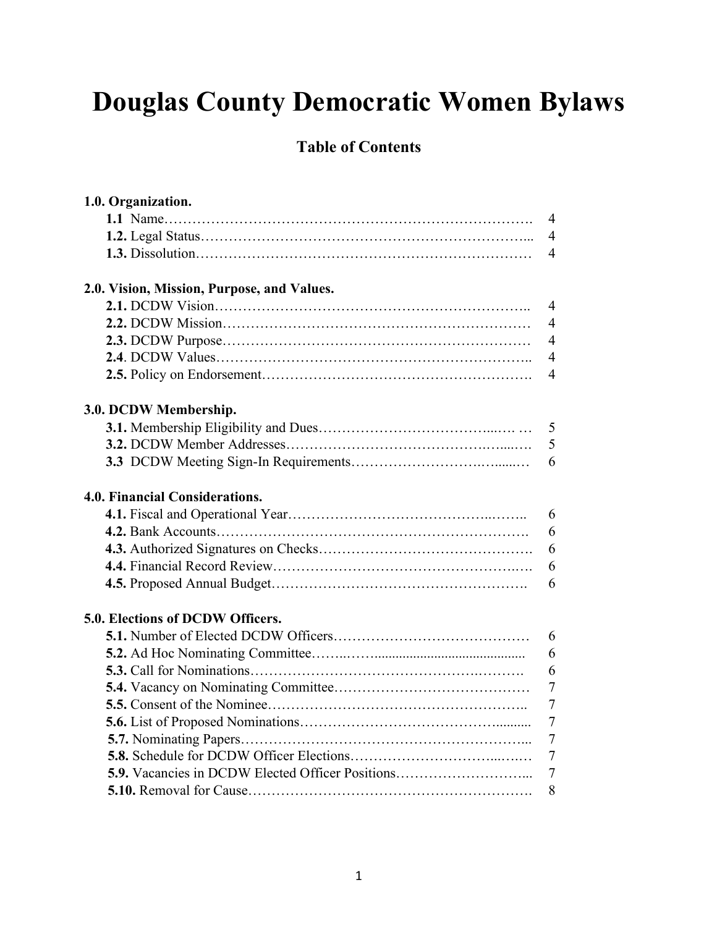# **Douglas County Democratic Women Bylaws**

## **Table of Contents**

| 1.0. Organization.                               |                |
|--------------------------------------------------|----------------|
|                                                  | $\overline{4}$ |
|                                                  | $\overline{4}$ |
|                                                  | $\overline{4}$ |
| 2.0. Vision, Mission, Purpose, and Values.       |                |
|                                                  | $\overline{4}$ |
|                                                  | $\overline{4}$ |
|                                                  | $\overline{4}$ |
|                                                  | $\overline{4}$ |
|                                                  | $\overline{4}$ |
| 3.0. DCDW Membership.                            |                |
|                                                  | 5              |
|                                                  | 5              |
|                                                  | 6              |
| <b>4.0. Financial Considerations.</b>            |                |
|                                                  | 6              |
|                                                  | 6              |
|                                                  | 6              |
|                                                  | 6              |
|                                                  | 6              |
| 5.0. Elections of DCDW Officers.                 |                |
|                                                  | 6              |
|                                                  | 6              |
|                                                  | 6              |
|                                                  | $\overline{7}$ |
|                                                  | $\overline{7}$ |
|                                                  | $\overline{7}$ |
|                                                  | $\overline{7}$ |
|                                                  | $\overline{7}$ |
| 5.9. Vacancies in DCDW Elected Officer Positions | $\overline{7}$ |
|                                                  | 8              |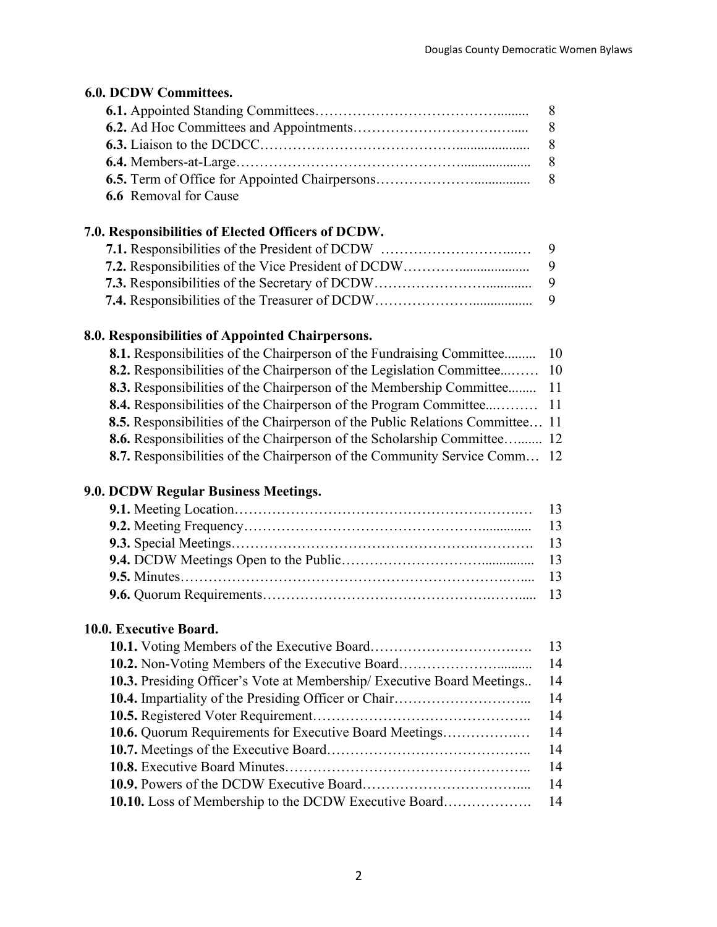## **6.0. DCDW Committees.**

| <b>6.6</b> Removal for Cause |  |
|------------------------------|--|

### **7.0. Responsibilities of Elected Officers of DCDW.**

## **8.0. Responsibilities of Appointed Chairpersons.**

| 8.1. Responsibilities of the Chairperson of the Fundraising Committee 10         |  |
|----------------------------------------------------------------------------------|--|
| 8.2. Responsibilities of the Chairperson of the Legislation Committee 10         |  |
| 8.3. Responsibilities of the Chairperson of the Membership Committee 11          |  |
|                                                                                  |  |
| 8.5. Responsibilities of the Chairperson of the Public Relations Committee 11    |  |
| 8.6. Responsibilities of the Chairperson of the Scholarship Committee 12         |  |
| <b>8.7.</b> Responsibilities of the Chairperson of the Community Service Comm 12 |  |

## **9.0. DCDW Regular Business Meetings.**

## **10.0. Executive Board.**

| <b>10.3.</b> Presiding Officer's Vote at Membership/ Executive Board Meetings | 14 |
|-------------------------------------------------------------------------------|----|
|                                                                               | 14 |
|                                                                               | 14 |
| 10.6. Quorum Requirements for Executive Board Meetings                        | 14 |
|                                                                               | 14 |
|                                                                               | 14 |
|                                                                               | 14 |
|                                                                               |    |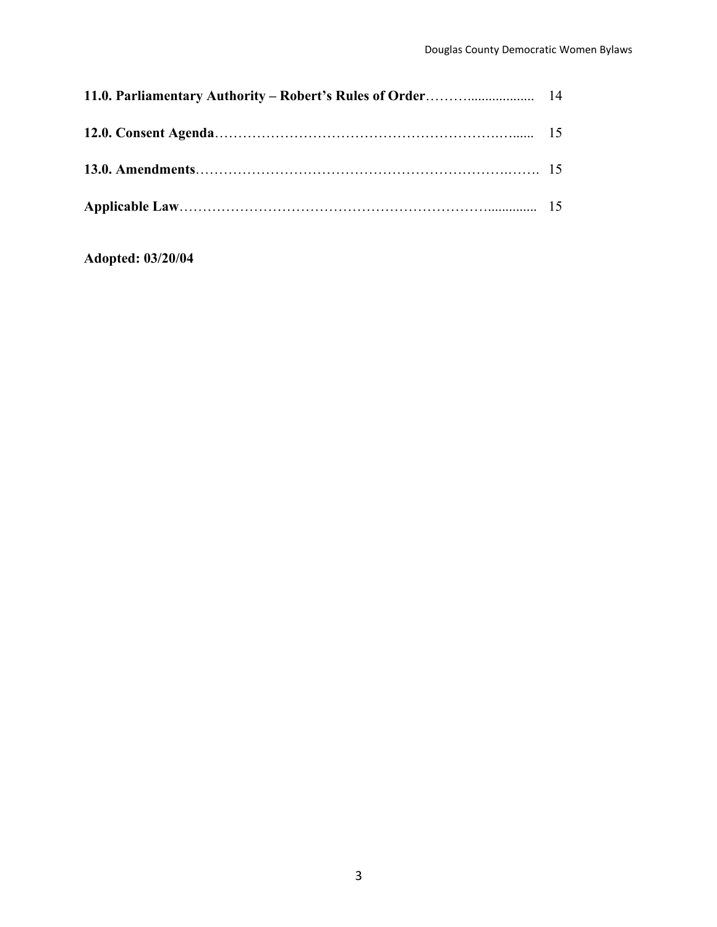**Adopted: 03/20/04**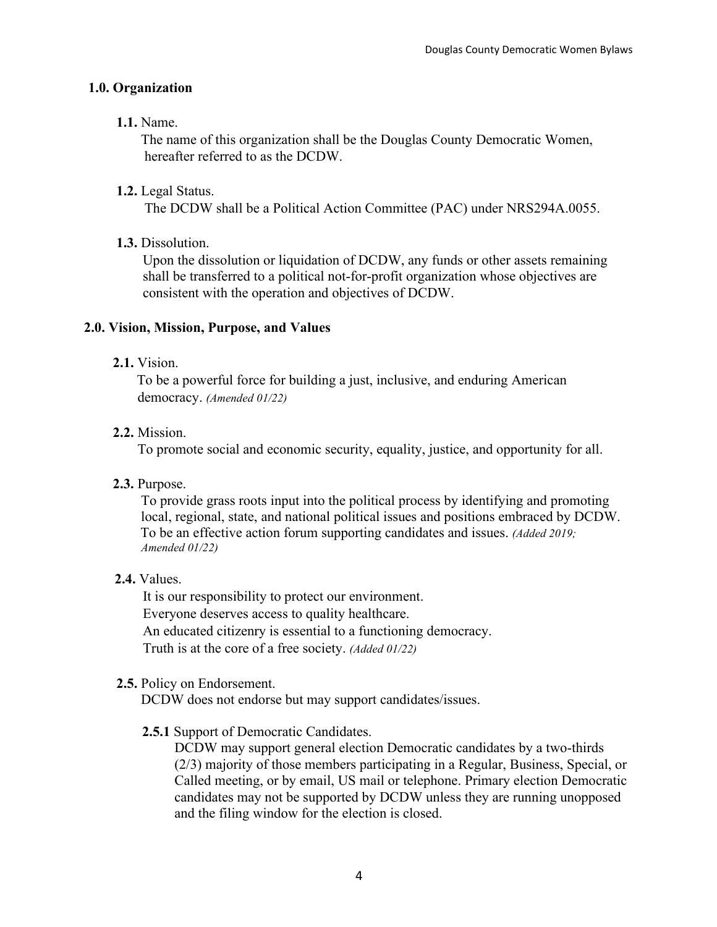#### **1.0. Organization**

#### **1.1.** Name.

 The name of this organization shall be the Douglas County Democratic Women, hereafter referred to as the DCDW.

#### **1.2.** Legal Status.

The DCDW shall be a Political Action Committee (PAC) under NRS294A.0055.

#### **1.3.** Dissolution.

 Upon the dissolution or liquidation of DCDW, any funds or other assets remaining shall be transferred to a political not-for-profit organization whose objectives are consistent with the operation and objectives of DCDW.

#### **2.0. Vision, Mission, Purpose, and Values**

#### **2.1.** Vision.

To be a powerful force for building a just, inclusive, and enduring American democracy. *(Amended 01/22)*

#### **2.2.** Mission.

To promote social and economic security, equality, justice, and opportunity for all.

#### **2.3.** Purpose.

 To provide grass roots input into the political process by identifying and promoting local, regional, state, and national political issues and positions embraced by DCDW. To be an effective action forum supporting candidates and issues. *(Added 2019; Amended 01/22)*

#### **2.4.** Values.

It is our responsibility to protect our environment. Everyone deserves access to quality healthcare. An educated citizenry is essential to a functioning democracy. Truth is at the core of a free society. *(Added 01/22)*

#### **2.5.** Policy on Endorsement.

DCDW does not endorse but may support candidates/issues.

#### **2.5.1** Support of Democratic Candidates.

DCDW may support general election Democratic candidates by a two-thirds (2/3) majority of those members participating in a Regular, Business, Special, or Called meeting, or by email, US mail or telephone. Primary election Democratic candidates may not be supported by DCDW unless they are running unopposed and the filing window for the election is closed.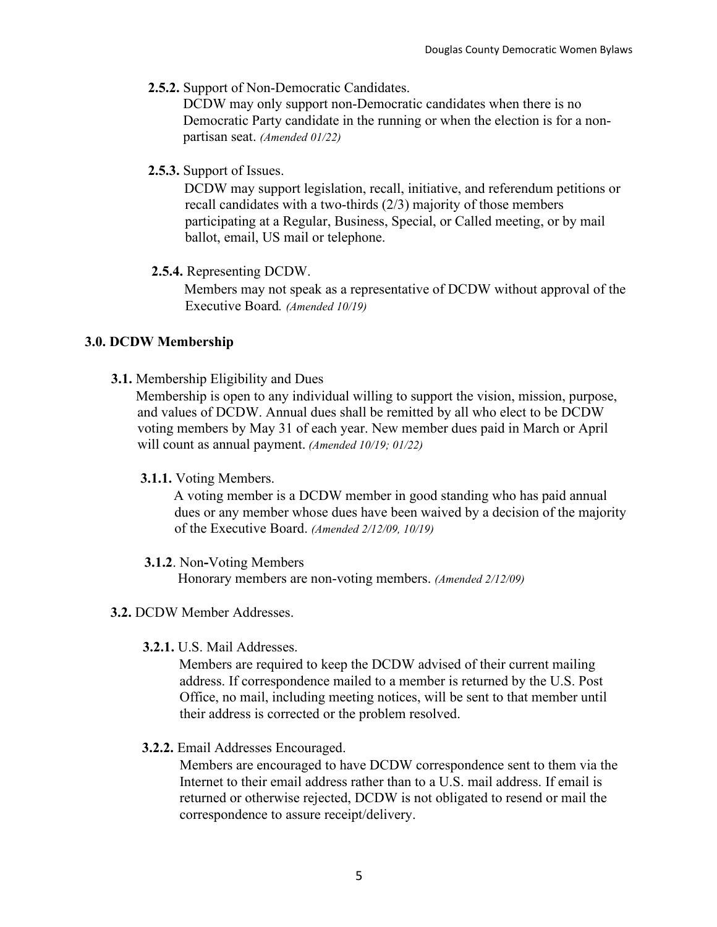**2.5.2.** Support of Non-Democratic Candidates.

DCDW may only support non-Democratic candidates when there is no Democratic Party candidate in the running or when the election is for a non partisan seat. *(Amended 01/22)*

**2.5.3.** Support of Issues.

DCDW may support legislation, recall, initiative, and referendum petitions or recall candidates with a two-thirds (2/3) majority of those members participating at a Regular, Business, Special, or Called meeting, or by mail ballot, email, US mail or telephone.

 **2.5.4.** Representing DCDW.

Members may not speak as a representative of DCDW without approval of the Executive Board*. (Amended 10/19)*

#### **3.0. DCDW Membership**

**3.1.** Membership Eligibility and Dues

Membership is open to any individual willing to support the vision, mission, purpose, and values of DCDW. Annual dues shall be remitted by all who elect to be DCDW voting members by May 31 of each year. New member dues paid in March or April will count as annual payment. *(Amended 10/19; 01/22)* 

#### **3.1.1.** Voting Members.

A voting member is a DCDW member in good standing who has paid annual dues or any member whose dues have been waived by a decision of the majority of the Executive Board. *(Amended 2/12/09, 10/19)*

 **3.1.2**. Non**-**Voting Members

Honorary members are non-voting members. *(Amended 2/12/09)*

- **3.2.** DCDW Member Addresses.
	- **3.2.1.** U.S. Mail Addresses.

Members are required to keep the DCDW advised of their current mailing address. If correspondence mailed to a member is returned by the U.S. Post Office, no mail, including meeting notices, will be sent to that member until their address is corrected or the problem resolved.

**3.2.2.** Email Addresses Encouraged.

Members are encouraged to have DCDW correspondence sent to them via the Internet to their email address rather than to a U.S. mail address. If email is returned or otherwise rejected, DCDW is not obligated to resend or mail the correspondence to assure receipt/delivery.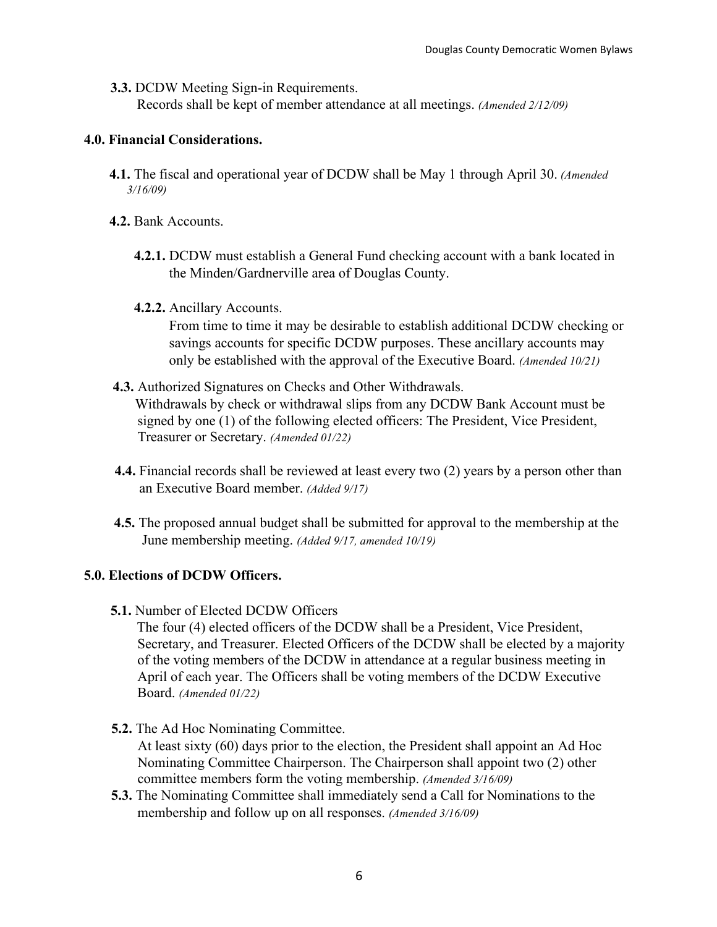**3.3.** DCDW Meeting Sign-in Requirements.

Records shall be kept of member attendance at all meetings. *(Amended 2/12/09)*

#### **4.0. Financial Considerations.**

- **4.1.** The fiscal and operational year of DCDW shall be May 1 through April 30. *(Amended 3/16/09)*
- **4.2.** Bank Accounts.
	- **4.2.1.** DCDW must establish a General Fund checking account with a bank located in the Minden/Gardnerville area of Douglas County.

#### **4.2.2.** Ancillary Accounts.

From time to time it may be desirable to establish additional DCDW checking or savings accounts for specific DCDW purposes. These ancillary accounts may only be established with the approval of the Executive Board. *(Amended 10/21)*

#### **4.3.** Authorized Signatures on Checks and Other Withdrawals.

Withdrawals by check or withdrawal slips from any DCDW Bank Account must be signed by one (1) of the following elected officers: The President, Vice President, Treasurer or Secretary. *(Amended 01/22)*

- **4.4.** Financial records shall be reviewed at least every two (2) years by a person other than an Executive Board member. *(Added 9/17)*
- **4.5.** The proposed annual budget shall be submitted for approval to the membership at the June membership meeting. *(Added 9/17, amended 10/19)*

#### **5.0. Elections of DCDW Officers.**

**5.1.** Number of Elected DCDW Officers

The four (4) elected officers of the DCDW shall be a President, Vice President, Secretary, and Treasurer. Elected Officers of the DCDW shall be elected by a majority of the voting members of the DCDW in attendance at a regular business meeting in April of each year. The Officers shall be voting members of the DCDW Executive Board. *(Amended 01/22)*

**5.2.** The Ad Hoc Nominating Committee.

At least sixty (60) days prior to the election, the President shall appoint an Ad Hoc Nominating Committee Chairperson. The Chairperson shall appoint two (2) other committee members form the voting membership. *(Amended 3/16/09)*

**5.3.** The Nominating Committee shall immediately send a Call for Nominations to the membership and follow up on all responses. *(Amended 3/16/09)*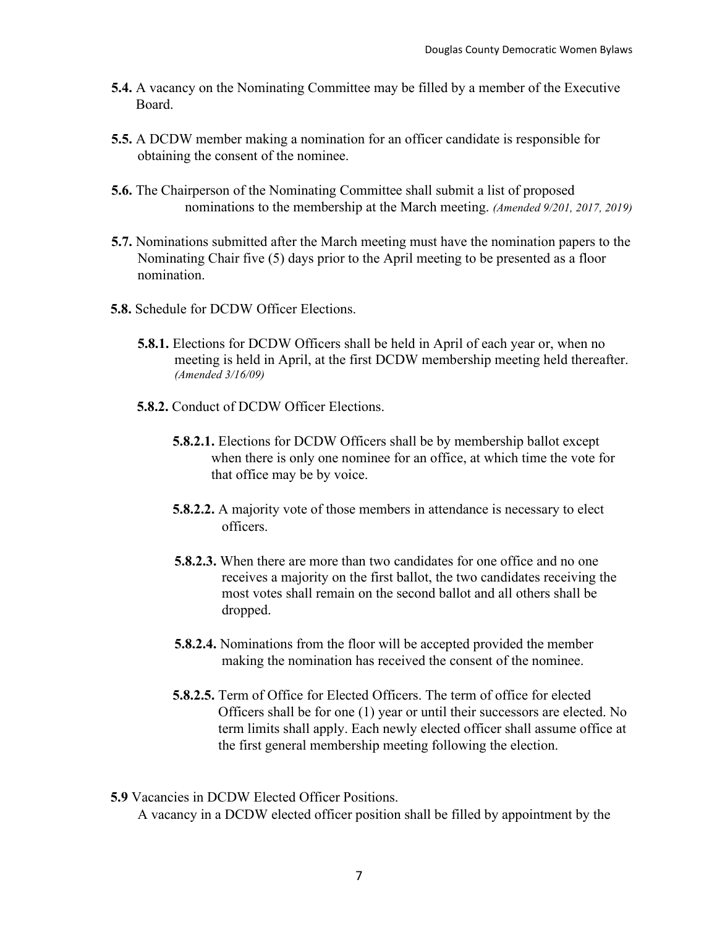- **5.4.** A vacancy on the Nominating Committee may be filled by a member of the Executive Board.
- **5.5.** A DCDW member making a nomination for an officer candidate is responsible for obtaining the consent of the nominee.
- **5.6.** The Chairperson of the Nominating Committee shall submit a list of proposed nominations to the membership at the March meeting. *(Amended 9/201, 2017, 2019)*
- **5.7.** Nominations submitted after the March meeting must have the nomination papers to the Nominating Chair five (5) days prior to the April meeting to be presented as a floor nomination.
- **5.8.** Schedule for DCDW Officer Elections.
	- **5.8.1.** Elections for DCDW Officers shall be held in April of each year or, when no meeting is held in April, at the first DCDW membership meeting held thereafter. *(Amended 3/16/09)*
	- **5.8.2.** Conduct of DCDW Officer Elections.
		- **5.8.2.1.** Elections for DCDW Officers shall be by membership ballot except when there is only one nominee for an office, at which time the vote for that office may be by voice.
		- **5.8.2.2.** A majority vote of those members in attendance is necessary to elect officers.
		- **5.8.2.3.** When there are more than two candidates for one office and no one receives a majority on the first ballot, the two candidates receiving the most votes shall remain on the second ballot and all others shall be dropped.
		- **5.8.2.4.** Nominations from the floor will be accepted provided the member making the nomination has received the consent of the nominee.
		- **5.8.2.5.** Term of Office for Elected Officers. The term of office for elected Officers shall be for one (1) year or until their successors are elected. No term limits shall apply. Each newly elected officer shall assume office at the first general membership meeting following the election.
- **5.9** Vacancies in DCDW Elected Officer Positions.

A vacancy in a DCDW elected officer position shall be filled by appointment by the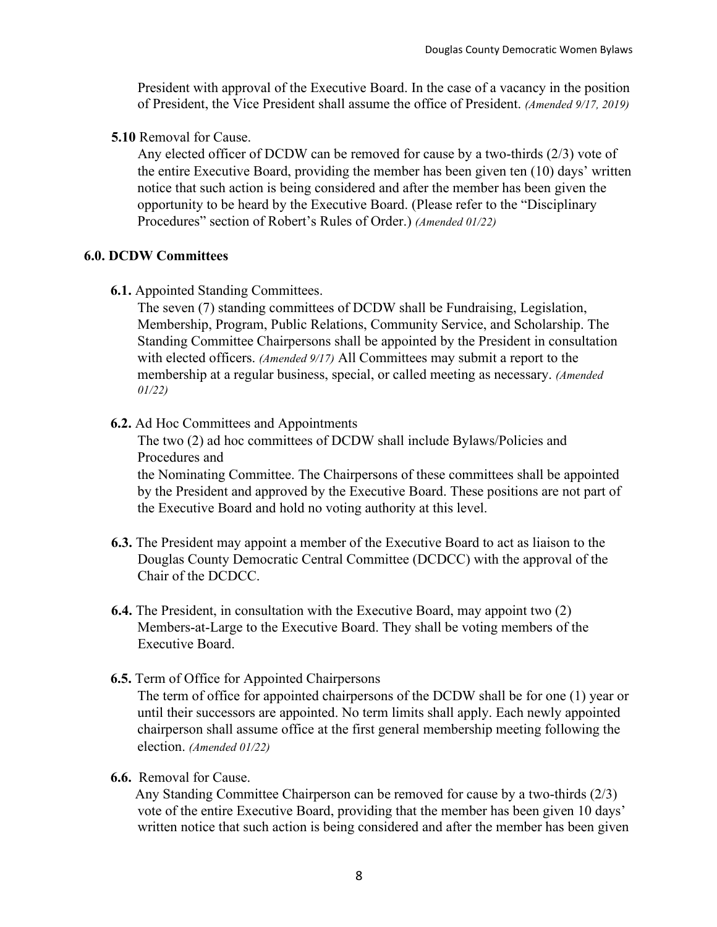President with approval of the Executive Board. In the case of a vacancy in the position of President, the Vice President shall assume the office of President. *(Amended 9/17, 2019)*

**5.10** Removal for Cause.

Any elected officer of DCDW can be removed for cause by a two-thirds (2/3) vote of the entire Executive Board, providing the member has been given ten (10) days' written notice that such action is being considered and after the member has been given the opportunity to be heard by the Executive Board. (Please refer to the "Disciplinary Procedures" section of Robert's Rules of Order.) *(Amended 01/22)*

#### **6.0. DCDW Committees**

**6.1.** Appointed Standing Committees.

The seven (7) standing committees of DCDW shall be Fundraising, Legislation, Membership, Program, Public Relations, Community Service, and Scholarship. The Standing Committee Chairpersons shall be appointed by the President in consultation with elected officers. *(Amended 9/17)* All Committees may submit a report to the membership at a regular business, special, or called meeting as necessary. *(Amended 01/22)*

**6.2.** Ad Hoc Committees and Appointments

The two (2) ad hoc committees of DCDW shall include Bylaws/Policies and Procedures and

the Nominating Committee. The Chairpersons of these committees shall be appointed by the President and approved by the Executive Board. These positions are not part of the Executive Board and hold no voting authority at this level.

- **6.3.** The President may appoint a member of the Executive Board to act as liaison to the Douglas County Democratic Central Committee (DCDCC) with the approval of the Chair of the DCDCC.
- **6.4.** The President, in consultation with the Executive Board, may appoint two (2) Members-at-Large to the Executive Board. They shall be voting members of the Executive Board.
- **6.5.** Term of Office for Appointed Chairpersons

The term of office for appointed chairpersons of the DCDW shall be for one (1) year or until their successors are appointed. No term limits shall apply. Each newly appointed chairperson shall assume office at the first general membership meeting following the election. *(Amended 01/22)*

**6.6.** Removal for Cause.

 Any Standing Committee Chairperson can be removed for cause by a two-thirds (2/3) vote of the entire Executive Board, providing that the member has been given 10 days' written notice that such action is being considered and after the member has been given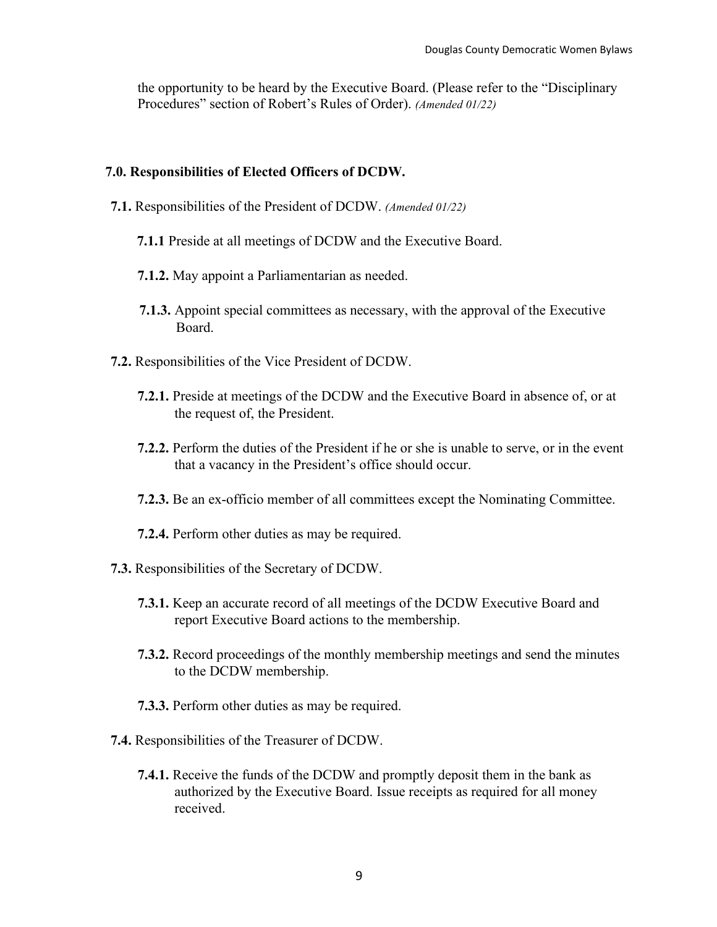the opportunity to be heard by the Executive Board. (Please refer to the "Disciplinary Procedures" section of Robert's Rules of Order). *(Amended 01/22)*

#### **7.0. Responsibilities of Elected Officers of DCDW.**

- **7.1.** Responsibilities of the President of DCDW. *(Amended 01/22)*
	- **7.1.1** Preside at all meetings of DCDW and the Executive Board.
	- **7.1.2.** May appoint a Parliamentarian as needed.
	- **7.1.3.** Appoint special committees as necessary, with the approval of the Executive Board.
- **7.2.** Responsibilities of the Vice President of DCDW.
	- **7.2.1.** Preside at meetings of the DCDW and the Executive Board in absence of, or at the request of, the President.
	- **7.2.2.** Perform the duties of the President if he or she is unable to serve, or in the event that a vacancy in the President's office should occur.
	- **7.2.3.** Be an ex-officio member of all committees except the Nominating Committee.
	- **7.2.4.** Perform other duties as may be required.
- **7.3.** Responsibilities of the Secretary of DCDW.
	- **7.3.1.** Keep an accurate record of all meetings of the DCDW Executive Board and report Executive Board actions to the membership.
	- **7.3.2.** Record proceedings of the monthly membership meetings and send the minutes to the DCDW membership.
	- **7.3.3.** Perform other duties as may be required.
- **7.4.** Responsibilities of the Treasurer of DCDW.
	- **7.4.1.** Receive the funds of the DCDW and promptly deposit them in the bank as authorized by the Executive Board. Issue receipts as required for all money received.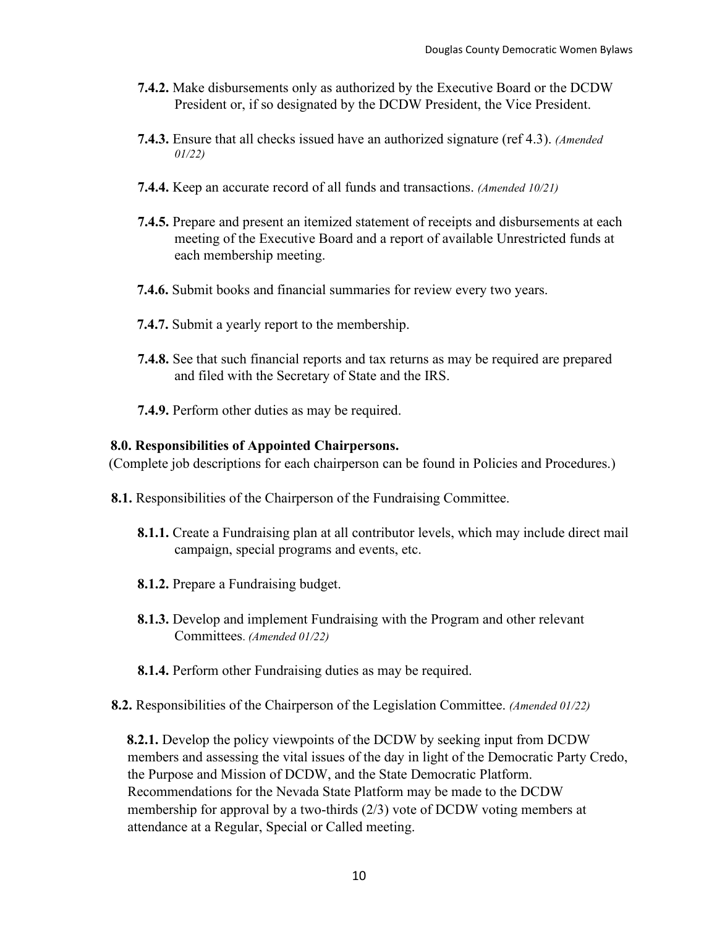- **7.4.2.** Make disbursements only as authorized by the Executive Board or the DCDW President or, if so designated by the DCDW President, the Vice President.
- **7.4.3.** Ensure that all checks issued have an authorized signature (ref 4.3). *(Amended 01/22)*
- **7.4.4.** Keep an accurate record of all funds and transactions. *(Amended 10/21)*
- **7.4.5.** Prepare and present an itemized statement of receipts and disbursements at each meeting of the Executive Board and a report of available Unrestricted funds at each membership meeting.
- **7.4.6.** Submit books and financial summaries for review every two years.
- **7.4.7.** Submit a yearly report to the membership.
- **7.4.8.** See that such financial reports and tax returns as may be required are prepared and filed with the Secretary of State and the IRS.
- **7.4.9.** Perform other duties as may be required.

#### **8.0. Responsibilities of Appointed Chairpersons.**

(Complete job descriptions for each chairperson can be found in Policies and Procedures.)

- **8.1.** Responsibilities of the Chairperson of the Fundraising Committee.
	- **8.1.1.** Create a Fundraising plan at all contributor levels, which may include direct mail campaign, special programs and events, etc.
	- **8.1.2.** Prepare a Fundraising budget.
	- **8.1.3.** Develop and implement Fundraising with the Program and other relevant Committees. *(Amended 01/22)*
	- **8.1.4.** Perform other Fundraising duties as may be required.
- **8.2.** Responsibilities of the Chairperson of the Legislation Committee. *(Amended 01/22)*

**8.2.1.** Develop the policy viewpoints of the DCDW by seeking input from DCDW members and assessing the vital issues of the day in light of the Democratic Party Credo, the Purpose and Mission of DCDW, and the State Democratic Platform. Recommendations for the Nevada State Platform may be made to the DCDW membership for approval by a two-thirds (2/3) vote of DCDW voting members at attendance at a Regular, Special or Called meeting.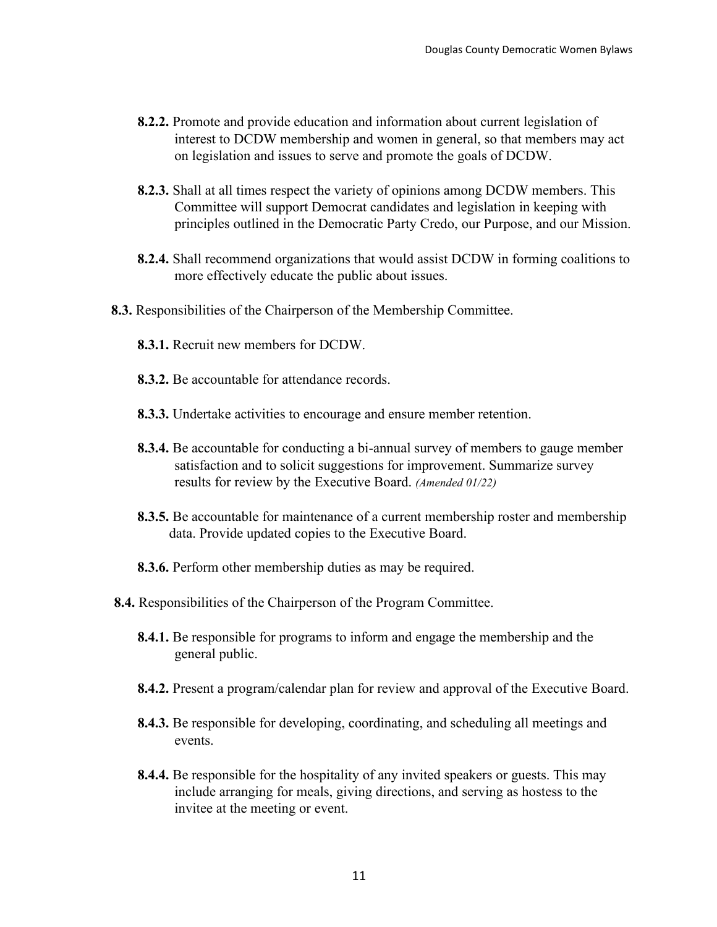- **8.2.2.** Promote and provide education and information about current legislation of interest to DCDW membership and women in general, so that members may act on legislation and issues to serve and promote the goals of DCDW.
- **8.2.3.** Shall at all times respect the variety of opinions among DCDW members. This Committee will support Democrat candidates and legislation in keeping with principles outlined in the Democratic Party Credo, our Purpose, and our Mission.
- **8.2.4.** Shall recommend organizations that would assist DCDW in forming coalitions to more effectively educate the public about issues.
- **8.3.** Responsibilities of the Chairperson of the Membership Committee.
	- **8.3.1.** Recruit new members for DCDW.
	- **8.3.2.** Be accountable for attendance records.
	- **8.3.3.** Undertake activities to encourage and ensure member retention.
	- **8.3.4.** Be accountable for conducting a bi-annual survey of members to gauge member satisfaction and to solicit suggestions for improvement. Summarize survey results for review by the Executive Board. *(Amended 01/22)*
	- **8.3.5.** Be accountable for maintenance of a current membership roster and membership data. Provide updated copies to the Executive Board.
	- **8.3.6.** Perform other membership duties as may be required.
- **8.4.** Responsibilities of the Chairperson of the Program Committee.
	- **8.4.1.** Be responsible for programs to inform and engage the membership and the general public.
	- **8.4.2.** Present a program/calendar plan for review and approval of the Executive Board.
	- **8.4.3.** Be responsible for developing, coordinating, and scheduling all meetings and events.
	- **8.4.4.** Be responsible for the hospitality of any invited speakers or guests. This may include arranging for meals, giving directions, and serving as hostess to the invitee at the meeting or event.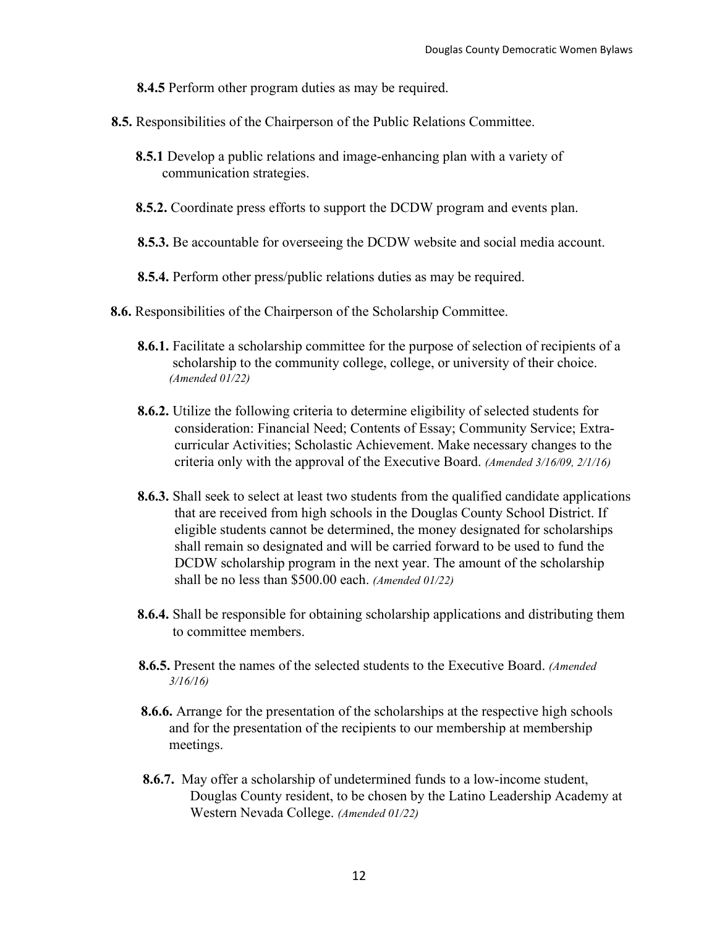**8.4.5** Perform other program duties as may be required.

- **8.5.** Responsibilities of the Chairperson of the Public Relations Committee.
	- **8.5.1** Develop a public relations and image-enhancing plan with a variety of communication strategies.
	- **8.5.2.** Coordinate press efforts to support the DCDW program and events plan.
	- **8.5.3.** Be accountable for overseeing the DCDW website and social media account.
	- **8.5.4.** Perform other press/public relations duties as may be required.
- **8.6.** Responsibilities of the Chairperson of the Scholarship Committee.
	- **8.6.1.** Facilitate a scholarship committee for the purpose of selection of recipients of a scholarship to the community college, college, or university of their choice. *(Amended 01/22)*
	- **8.6.2.** Utilize the following criteria to determine eligibility of selected students for consideration: Financial Need; Contents of Essay; Community Service; Extracurricular Activities; Scholastic Achievement. Make necessary changes to the criteria only with the approval of the Executive Board. *(Amended 3/16/09, 2/1/16)*
	- **8.6.3.** Shall seek to select at least two students from the qualified candidate applications that are received from high schools in the Douglas County School District. If eligible students cannot be determined, the money designated for scholarships shall remain so designated and will be carried forward to be used to fund the DCDW scholarship program in the next year. The amount of the scholarship shall be no less than \$500.00 each. *(Amended 01/22)*
	- **8.6.4.** Shall be responsible for obtaining scholarship applications and distributing them to committee members.
	- **8.6.5.** Present the names of the selected students to the Executive Board. *(Amended 3/16/16)*
	- **8.6.6.** Arrange for the presentation of the scholarships at the respective high schools and for the presentation of the recipients to our membership at membership meetings.
	- **8.6.7.** May offer a scholarship of undetermined funds to a low-income student, Douglas County resident, to be chosen by the Latino Leadership Academy at Western Nevada College. *(Amended 01/22)*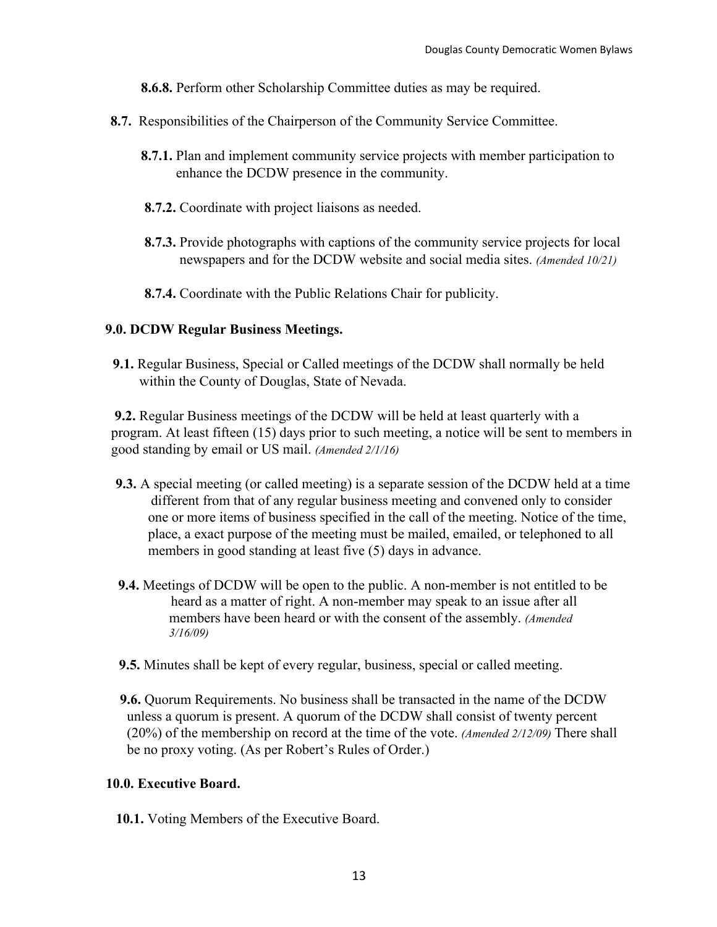**8.6.8.** Perform other Scholarship Committee duties as may be required.

- **8.7.** Responsibilities of the Chairperson of the Community Service Committee.
	- **8.7.1.** Plan and implement community service projects with member participation to enhance the DCDW presence in the community.
	- **8.7.2.** Coordinate with project liaisons as needed.
	- **8.7.3.** Provide photographs with captions of the community service projects for local newspapers and for the DCDW website and social media sites. *(Amended 10/21)*
	- **8.7.4.** Coordinate with the Public Relations Chair for publicity.

#### **9.0. DCDW Regular Business Meetings.**

 **9.1.** Regular Business, Special or Called meetings of the DCDW shall normally be held within the County of Douglas, State of Nevada.

**9.2.** Regular Business meetings of the DCDW will be held at least quarterly with a program. At least fifteen (15) days prior to such meeting, a notice will be sent to members in good standing by email or US mail. *(Amended 2/1/16)*

- **9.3.** A special meeting (or called meeting) is a separate session of the DCDW held at a time different from that of any regular business meeting and convened only to consider one or more items of business specified in the call of the meeting. Notice of the time, place, a exact purpose of the meeting must be mailed, emailed, or telephoned to all members in good standing at least five (5) days in advance.
- **9.4.** Meetings of DCDW will be open to the public. A non-member is not entitled to be heard as a matter of right. A non-member may speak to an issue after all members have been heard or with the consent of the assembly. *(Amended 3/16/09)*
- **9.5.** Minutes shall be kept of every regular, business, special or called meeting.
- **9.6.** Quorum Requirements. No business shall be transacted in the name of the DCDW unless a quorum is present. A quorum of the DCDW shall consist of twenty percent (20%) of the membership on record at the time of the vote. *(Amended 2/12/09)* There shall be no proxy voting. (As per Robert's Rules of Order.)

#### **10.0. Executive Board.**

**10.1.** Voting Members of the Executive Board.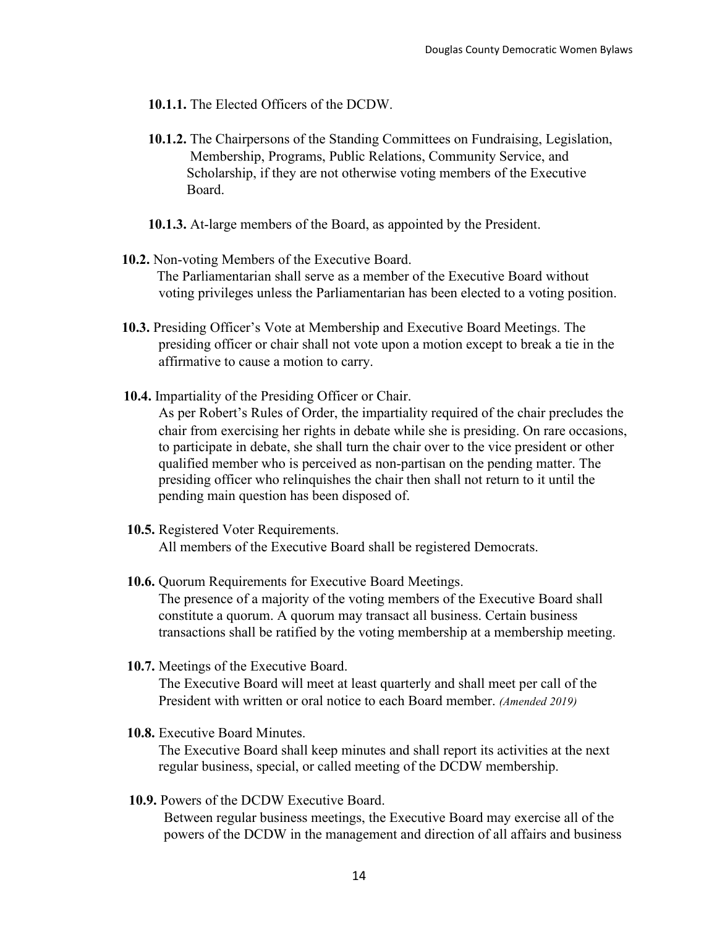- **10.1.1.** The Elected Officers of the DCDW.
- **10.1.2.** The Chairpersons of the Standing Committees on Fundraising, Legislation, Membership, Programs, Public Relations, Community Service, and Scholarship, if they are not otherwise voting members of the Executive Board.
- **10.1.3.** At-large members of the Board, as appointed by the President.
- **10.2.** Non-voting Members of the Executive Board. The Parliamentarian shall serve as a member of the Executive Board without voting privileges unless the Parliamentarian has been elected to a voting position.
- **10.3.** Presiding Officer's Vote at Membership and Executive Board Meetings. The presiding officer or chair shall not vote upon a motion except to break a tie in the affirmative to cause a motion to carry.
- **10.4.** Impartiality of the Presiding Officer or Chair.

As per Robert's Rules of Order, the impartiality required of the chair precludes the chair from exercising her rights in debate while she is presiding. On rare occasions, to participate in debate, she shall turn the chair over to the vice president or other qualified member who is perceived as non-partisan on the pending matter. The presiding officer who relinquishes the chair then shall not return to it until the pending main question has been disposed of.

- **10.5.** Registered Voter Requirements. All members of the Executive Board shall be registered Democrats.
- **10.6.** Quorum Requirements for Executive Board Meetings. The presence of a majority of the voting members of the Executive Board shall constitute a quorum. A quorum may transact all business. Certain business transactions shall be ratified by the voting membership at a membership meeting.
- **10.7.** Meetings of the Executive Board.

 The Executive Board will meet at least quarterly and shall meet per call of the President with written or oral notice to each Board member. *(Amended 2019)*

**10.8.** Executive Board Minutes.

 The Executive Board shall keep minutes and shall report its activities at the next regular business, special, or called meeting of the DCDW membership.

 **10.9.** Powers of the DCDW Executive Board.

 Between regular business meetings, the Executive Board may exercise all of the powers of the DCDW in the management and direction of all affairs and business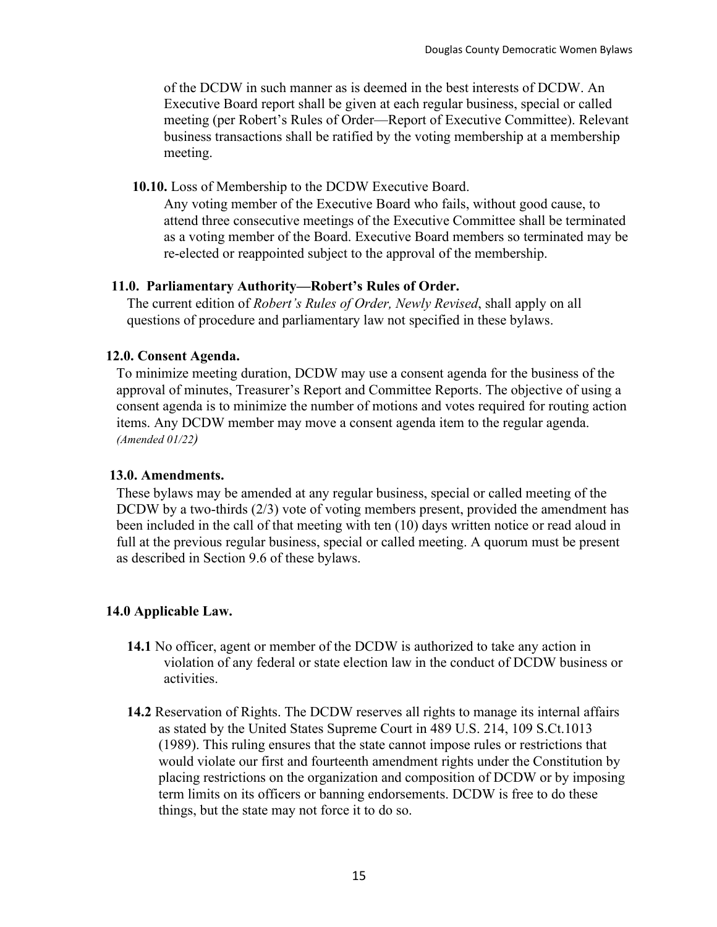of the DCDW in such manner as is deemed in the best interests of DCDW. An Executive Board report shall be given at each regular business, special or called meeting (per Robert's Rules of Order—Report of Executive Committee). Relevant business transactions shall be ratified by the voting membership at a membership meeting.

 **10.10.** Loss of Membership to the DCDW Executive Board.

 Any voting member of the Executive Board who fails, without good cause, to attend three consecutive meetings of the Executive Committee shall be terminated as a voting member of the Board. Executive Board members so terminated may be re-elected or reappointed subject to the approval of the membership.

#### **11.0. Parliamentary Authority—Robert's Rules of Order.**

 The current edition of *Robert's Rules of Order, Newly Revised*, shall apply on all questions of procedure and parliamentary law not specified in these bylaws.

#### **12.0. Consent Agenda.**

 To minimize meeting duration, DCDW may use a consent agenda for the business of the approval of minutes, Treasurer's Report and Committee Reports. The objective of using a consent agenda is to minimize the number of motions and votes required for routing action items. Any DCDW member may move a consent agenda item to the regular agenda. *(Amended 01/22)*

#### **13.0. Amendments.**

 These bylaws may be amended at any regular business, special or called meeting of the DCDW by a two-thirds (2/3) vote of voting members present, provided the amendment has been included in the call of that meeting with ten (10) days written notice or read aloud in full at the previous regular business, special or called meeting. A quorum must be present as described in Section 9.6 of these bylaws.

#### **14.0 Applicable Law.**

- **14.1** No officer, agent or member of the DCDW is authorized to take any action in violation of any federal or state election law in the conduct of DCDW business or activities.
- **14.2** Reservation of Rights. The DCDW reserves all rights to manage its internal affairs as stated by the United States Supreme Court in 489 U.S. 214, 109 S.Ct.1013 (1989). This ruling ensures that the state cannot impose rules or restrictions that would violate our first and fourteenth amendment rights under the Constitution by placing restrictions on the organization and composition of DCDW or by imposing term limits on its officers or banning endorsements. DCDW is free to do these things, but the state may not force it to do so.